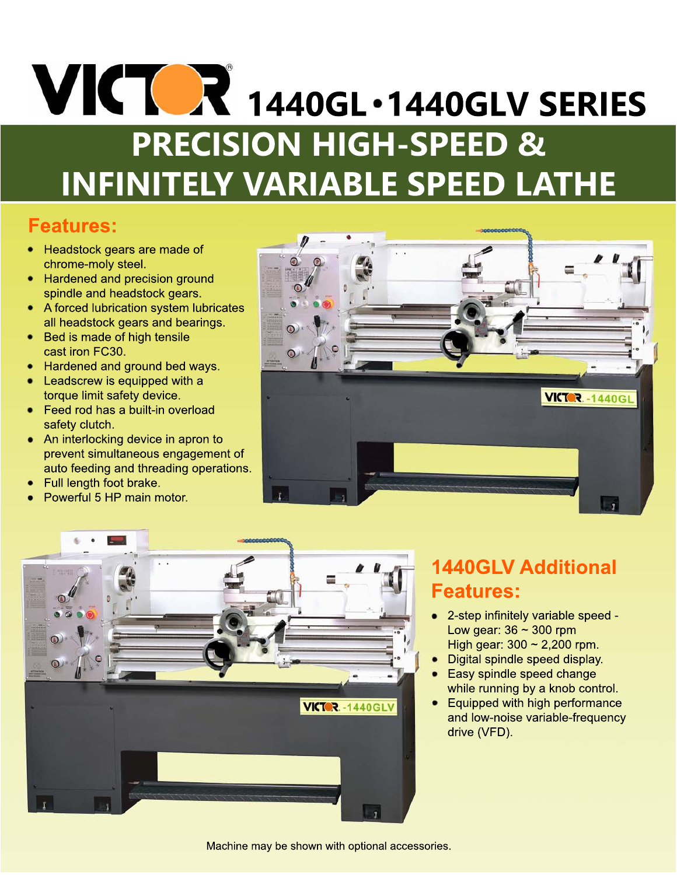# **VICTOR** 1440GL . 1440GLV SERIES **PRECISION HIGH-SPEED & INFINITELY VARIABLE SPEED LATHE**

### **Features:**

- Headstock gears are made of chrome-moly steel.
- Hardened and precision ground spindle and headstock gears.
- A forced lubrication system lubricates all headstock gears and bearings.
- Bed is made of high tensile cast iron FC30.
- Hardened and ground bed ways.
- Leadscrew is equipped with a torque limit safety device.
- Feed rod has a built-in overload safety clutch.
- An interlocking device in apron to prevent simultaneous engagement of auto feeding and threading operations.
- Full length foot brake.
- Powerful 5 HP main motor.





## **1440GLV Additional Features:**

- 2-step infinitely variable speed -Low gear:  $36 \sim 300$  rpm High gear:  $300 \approx 2,200$  rpm.
- Digital spindle speed display.
- Easy spindle speed change while running by a knob control.
- Equipped with high performance and low-noise variable-frequency drive (VFD).

Machine may be shown with optional accessories.